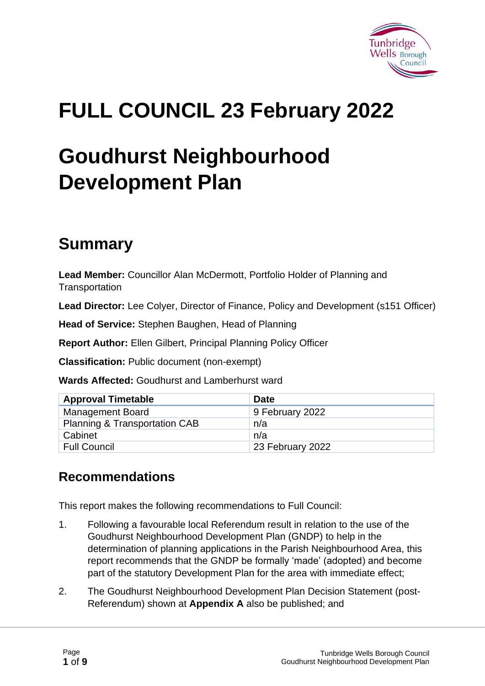

# **FULL COUNCIL 23 February 2022**

# **Goudhurst Neighbourhood Development Plan**

# **Summary**

**Lead Member:** Councillor Alan McDermott, Portfolio Holder of Planning and **Transportation** 

**Lead Director:** Lee Colyer, Director of Finance, Policy and Development (s151 Officer)

**Head of Service:** Stephen Baughen, Head of Planning

**Report Author:** Ellen Gilbert, Principal Planning Policy Officer

**Classification:** Public document (non-exempt)

**Wards Affected:** Goudhurst and Lamberhurst ward

| <b>Approval Timetable</b>                | <b>Date</b>      |
|------------------------------------------|------------------|
| <b>Management Board</b>                  | 9 February 2022  |
| <b>Planning &amp; Transportation CAB</b> | n/a              |
| Cabinet                                  | n/a              |
| <b>Full Council</b>                      | 23 February 2022 |

#### **Recommendations**

This report makes the following recommendations to Full Council:

- 1. Following a favourable local Referendum result in relation to the use of the Goudhurst Neighbourhood Development Plan (GNDP) to help in the determination of planning applications in the Parish Neighbourhood Area, this report recommends that the GNDP be formally 'made' (adopted) and become part of the statutory Development Plan for the area with immediate effect;
- 2. The Goudhurst Neighbourhood Development Plan Decision Statement (post-Referendum) shown at **Appendix A** also be published; and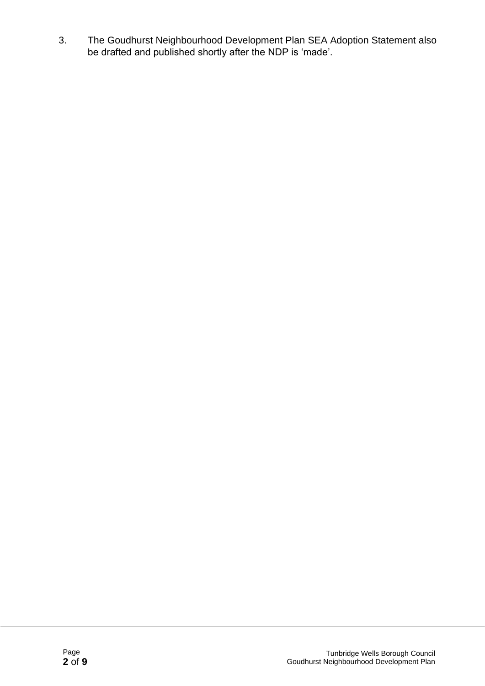3. The Goudhurst Neighbourhood Development Plan SEA Adoption Statement also be drafted and published shortly after the NDP is 'made'.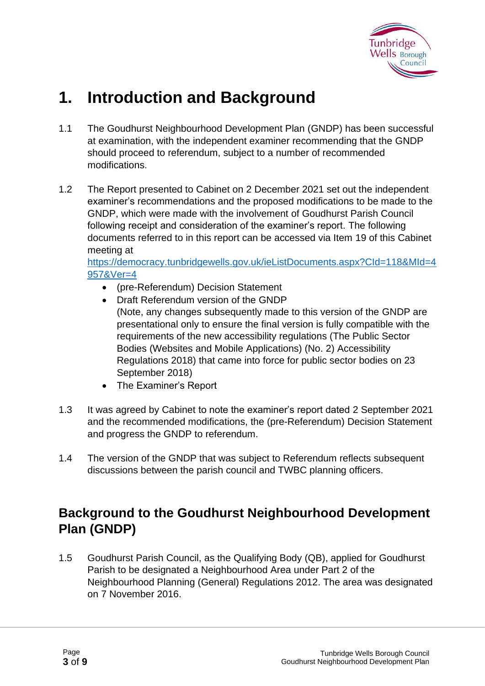

## **1. Introduction and Background**

- 1.1 The Goudhurst Neighbourhood Development Plan (GNDP) has been successful at examination, with the independent examiner recommending that the GNDP should proceed to referendum, subject to a number of recommended modifications.
- 1.2 The Report presented to Cabinet on 2 December 2021 set out the independent examiner's recommendations and the proposed modifications to be made to the GNDP, which were made with the involvement of Goudhurst Parish Council following receipt and consideration of the examiner's report. The following documents referred to in this report can be accessed via Item 19 of this Cabinet meeting at

[https://democracy.tunbridgewells.gov.uk/ieListDocuments.aspx?CId=118&MId=4](https://democracy.tunbridgewells.gov.uk/ieListDocuments.aspx?CId=118&MId=4957&Ver=4) [957&Ver=4](https://democracy.tunbridgewells.gov.uk/ieListDocuments.aspx?CId=118&MId=4957&Ver=4)

- (pre-Referendum) Decision Statement
- Draft Referendum version of the GNDP (Note, any changes subsequently made to this version of the GNDP are presentational only to ensure the final version is fully compatible with the requirements of the new accessibility regulations (The Public Sector Bodies (Websites and Mobile Applications) (No. 2) Accessibility Regulations 2018) that came into force for public sector bodies on 23 September 2018)
- The Examiner's Report
- 1.3 It was agreed by Cabinet to note the examiner's report dated 2 September 2021 and the recommended modifications, the (pre-Referendum) Decision Statement and progress the GNDP to referendum.
- 1.4 The version of the GNDP that was subject to Referendum reflects subsequent discussions between the parish council and TWBC planning officers.

#### **Background to the Goudhurst Neighbourhood Development Plan (GNDP)**

1.5 Goudhurst Parish Council, as the Qualifying Body (QB), applied for Goudhurst Parish to be designated a Neighbourhood Area under Part 2 of the Neighbourhood Planning (General) Regulations 2012. The area was designated on 7 November 2016.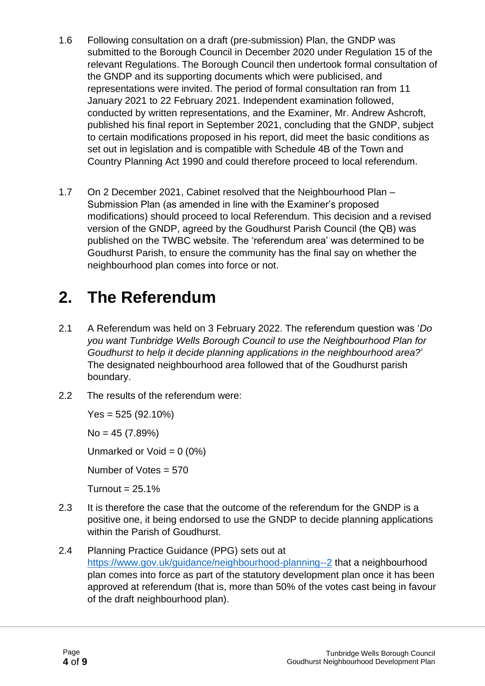- 1.6 Following consultation on a draft (pre-submission) Plan, the GNDP was submitted to the Borough Council in December 2020 under Regulation 15 of the relevant Regulations. The Borough Council then undertook formal consultation of the GNDP and its supporting documents which were publicised, and representations were invited. The period of formal consultation ran from 11 January 2021 to 22 February 2021. Independent examination followed, conducted by written representations, and the Examiner, Mr. Andrew Ashcroft, published his final report in September 2021, concluding that the GNDP, subject to certain modifications proposed in his report, did meet the basic conditions as set out in legislation and is compatible with Schedule 4B of the Town and Country Planning Act 1990 and could therefore proceed to local referendum.
- 1.7 On 2 December 2021, Cabinet resolved that the Neighbourhood Plan Submission Plan (as amended in line with the Examiner's proposed modifications) should proceed to local Referendum. This decision and a revised version of the GNDP, agreed by the Goudhurst Parish Council (the QB) was published on the TWBC website. The 'referendum area' was determined to be Goudhurst Parish, to ensure the community has the final say on whether the neighbourhood plan comes into force or not.

## **2. The Referendum**

- 2.1 A Referendum was held on 3 February 2022. The referendum question was '*Do you want Tunbridge Wells Borough Council to use the Neighbourhood Plan for Goudhurst to help it decide planning applications in the neighbourhood area?*' The designated neighbourhood area followed that of the Goudhurst parish boundary.
- 2.2 The results of the referendum were:

Yes = 525 (92.10%)

No = 45 (7.89%)

Unmarked or Void =  $0(0\%)$ 

Number of Votes = 570

Turnout =  $25.1%$ 

- 2.3 It is therefore the case that the outcome of the referendum for the GNDP is a positive one, it being endorsed to use the GNDP to decide planning applications within the Parish of Goudhurst.
- 2.4 Planning Practice Guidance (PPG) sets out at <https://www.gov.uk/guidance/neighbourhood-planning--2> that a neighbourhood plan comes into force as part of the statutory development plan once it has been approved at referendum (that is, more than 50% of the votes cast being in favour of the draft neighbourhood plan).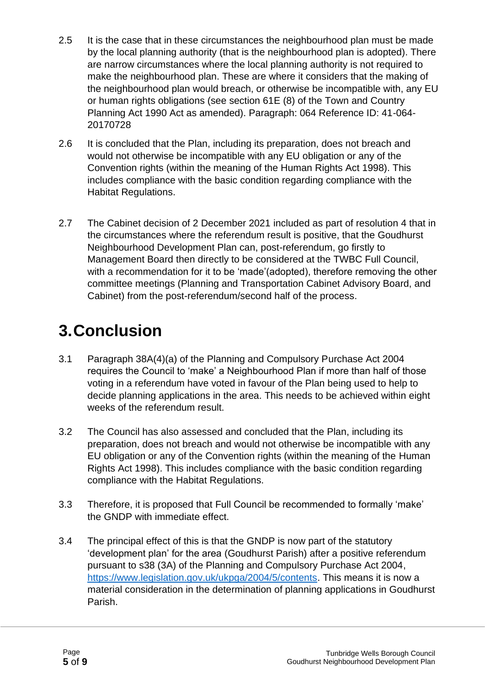- 2.5 It is the case that in these circumstances the neighbourhood plan must be made by the local planning authority (that is the neighbourhood plan is adopted). There are narrow circumstances where the local planning authority is not required to make the neighbourhood plan. These are where it considers that the making of the neighbourhood plan would breach, or otherwise be incompatible with, any EU or human rights obligations (see section 61E (8) of the Town and Country Planning Act 1990 Act as amended). Paragraph: 064 Reference ID: 41-064- 20170728
- 2.6 It is concluded that the Plan, including its preparation, does not breach and would not otherwise be incompatible with any EU obligation or any of the Convention rights (within the meaning of the Human Rights Act 1998). This includes compliance with the basic condition regarding compliance with the Habitat Regulations.
- 2.7 The Cabinet decision of 2 December 2021 included as part of resolution 4 that in the circumstances where the referendum result is positive, that the Goudhurst Neighbourhood Development Plan can, post-referendum, go firstly to Management Board then directly to be considered at the TWBC Full Council, with a recommendation for it to be 'made'(adopted), therefore removing the other committee meetings (Planning and Transportation Cabinet Advisory Board, and Cabinet) from the post-referendum/second half of the process.

# **3.Conclusion**

- 3.1 Paragraph 38A(4)(a) of the Planning and Compulsory Purchase Act 2004 requires the Council to 'make' a Neighbourhood Plan if more than half of those voting in a referendum have voted in favour of the Plan being used to help to decide planning applications in the area. This needs to be achieved within eight weeks of the referendum result.
- 3.2 The Council has also assessed and concluded that the Plan, including its preparation, does not breach and would not otherwise be incompatible with any EU obligation or any of the Convention rights (within the meaning of the Human Rights Act 1998). This includes compliance with the basic condition regarding compliance with the Habitat Regulations.
- 3.3 Therefore, it is proposed that Full Council be recommended to formally 'make' the GNDP with immediate effect.
- 3.4 The principal effect of this is that the GNDP is now part of the statutory 'development plan' for the area (Goudhurst Parish) after a positive referendum pursuant to s38 (3A) of the Planning and Compulsory Purchase Act 2004, [https://www.legislation.gov.uk/ukpga/2004/5/contents.](https://www.legislation.gov.uk/ukpga/2004/5/contents) This means it is now a material consideration in the determination of planning applications in Goudhurst Parish.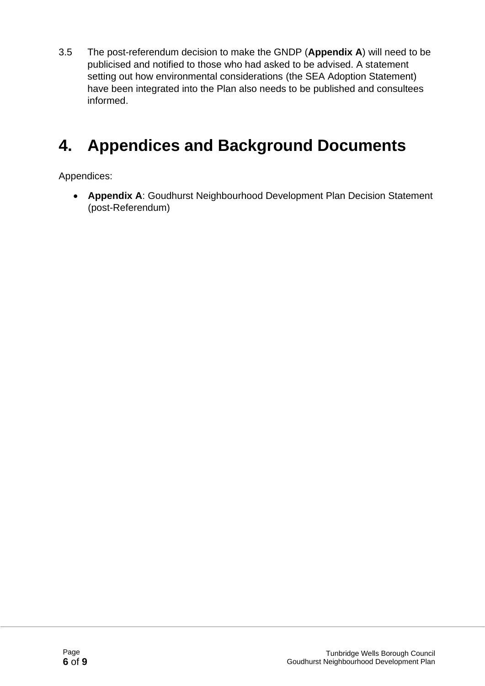3.5 The post-referendum decision to make the GNDP (**Appendix A**) will need to be publicised and notified to those who had asked to be advised. A statement setting out how environmental considerations (the SEA Adoption Statement) have been integrated into the Plan also needs to be published and consultees informed.

## **4. Appendices and Background Documents**

Appendices:

• **Appendix A**: Goudhurst Neighbourhood Development Plan Decision Statement (post-Referendum)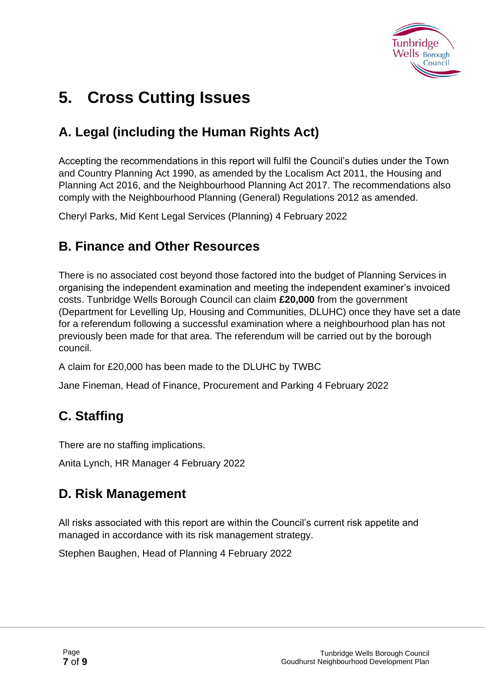

# **5. Cross Cutting Issues**

### **A. Legal (including the Human Rights Act)**

Accepting the recommendations in this report will fulfil the Council's duties under the Town and Country Planning Act 1990, as amended by the Localism Act 2011, the Housing and Planning Act 2016, and the Neighbourhood Planning Act 2017. The recommendations also comply with the Neighbourhood Planning (General) Regulations 2012 as amended.

Cheryl Parks, Mid Kent Legal Services (Planning) 4 February 2022

#### **B. Finance and Other Resources**

There is no associated cost beyond those factored into the budget of Planning Services in organising the independent examination and meeting the independent examiner's invoiced costs. Tunbridge Wells Borough Council can claim **£20,000** from the government (Department for Levelling Up, Housing and Communities, DLUHC) once they have set a date for a referendum following a successful examination where a neighbourhood plan has not previously been made for that area. The referendum will be carried out by the borough council.

A claim for £20,000 has been made to the DLUHC by TWBC

Jane Fineman, Head of Finance, Procurement and Parking 4 February 2022

## **C. Staffing**

There are no staffing implications.

Anita Lynch, HR Manager 4 February 2022

#### **D. Risk Management**

All risks associated with this report are within the Council's current risk appetite and managed in accordance with its risk management strategy.

Stephen Baughen, Head of Planning 4 February 2022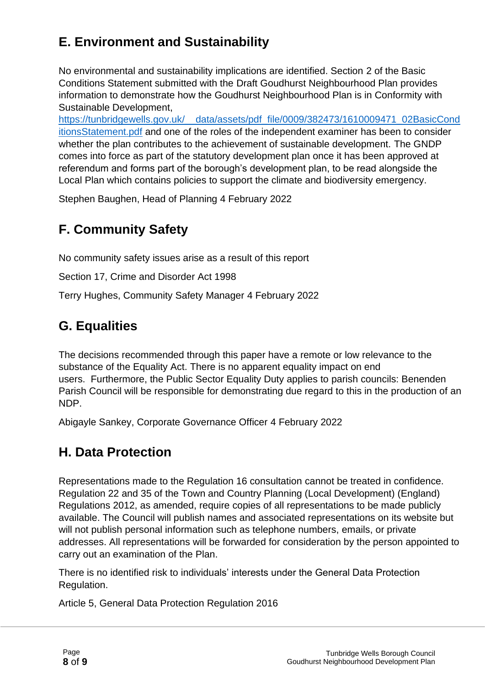## **E. Environment and Sustainability**

No environmental and sustainability implications are identified. Section 2 of the Basic Conditions Statement submitted with the Draft Goudhurst Neighbourhood Plan provides information to demonstrate how the Goudhurst Neighbourhood Plan is in Conformity with Sustainable Development,

[https://tunbridgewells.gov.uk/\\_\\_data/assets/pdf\\_file/0009/382473/1610009471\\_02BasicCond](https://tunbridgewells.gov.uk/__data/assets/pdf_file/0009/382473/1610009471_02BasicConditionsStatement.pdf) [itionsStatement.pdf](https://tunbridgewells.gov.uk/__data/assets/pdf_file/0009/382473/1610009471_02BasicConditionsStatement.pdf) and one of the roles of the independent examiner has been to consider whether the plan contributes to the achievement of sustainable development. The GNDP comes into force as part of the statutory development plan once it has been approved at referendum and forms part of the borough's development plan, to be read alongside the Local Plan which contains policies to support the climate and biodiversity emergency.

Stephen Baughen, Head of Planning 4 February 2022

## **F. Community Safety**

No community safety issues arise as a result of this report

Section 17, Crime and Disorder Act 1998

Terry Hughes, Community Safety Manager 4 February 2022

### **G. Equalities**

The decisions recommended through this paper have a remote or low relevance to the substance of the Equality Act. There is no apparent equality impact on end users. Furthermore, the Public Sector Equality Duty applies to parish councils: Benenden Parish Council will be responsible for demonstrating due regard to this in the production of an NDP.

Abigayle Sankey, Corporate Governance Officer 4 February 2022

#### **H. Data Protection**

Representations made to the Regulation 16 consultation cannot be treated in confidence. Regulation 22 and 35 of the Town and Country Planning (Local Development) (England) Regulations 2012, as amended, require copies of all representations to be made publicly available. The Council will publish names and associated representations on its website but will not publish personal information such as telephone numbers, emails, or private addresses. All representations will be forwarded for consideration by the person appointed to carry out an examination of the Plan.

There is no identified risk to individuals' interests under the General Data Protection Regulation.

Article 5, General Data Protection Regulation 2016